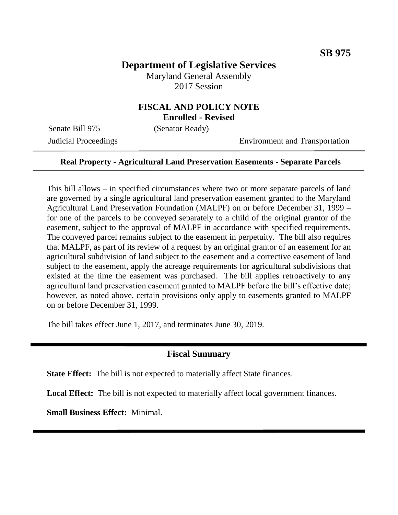# **Department of Legislative Services**

Maryland General Assembly 2017 Session

## **FISCAL AND POLICY NOTE Enrolled - Revised**

Senate Bill 975 (Senator Ready)

Judicial Proceedings Environment and Transportation

#### **Real Property - Agricultural Land Preservation Easements - Separate Parcels**

This bill allows – in specified circumstances where two or more separate parcels of land are governed by a single agricultural land preservation easement granted to the Maryland Agricultural Land Preservation Foundation (MALPF) on or before December 31, 1999 – for one of the parcels to be conveyed separately to a child of the original grantor of the easement, subject to the approval of MALPF in accordance with specified requirements. The conveyed parcel remains subject to the easement in perpetuity. The bill also requires that MALPF, as part of its review of a request by an original grantor of an easement for an agricultural subdivision of land subject to the easement and a corrective easement of land subject to the easement, apply the acreage requirements for agricultural subdivisions that existed at the time the easement was purchased. The bill applies retroactively to any agricultural land preservation easement granted to MALPF before the bill's effective date; however, as noted above, certain provisions only apply to easements granted to MALPF on or before December 31, 1999.

The bill takes effect June 1, 2017, and terminates June 30, 2019.

## **Fiscal Summary**

**State Effect:** The bill is not expected to materially affect State finances.

Local Effect: The bill is not expected to materially affect local government finances.

**Small Business Effect:** Minimal.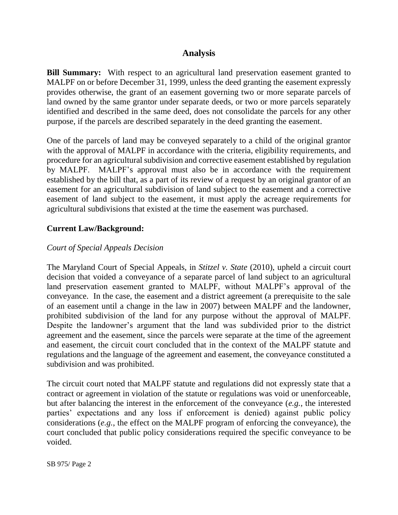# **Analysis**

**Bill Summary:** With respect to an agricultural land preservation easement granted to MALPF on or before December 31, 1999, unless the deed granting the easement expressly provides otherwise, the grant of an easement governing two or more separate parcels of land owned by the same grantor under separate deeds, or two or more parcels separately identified and described in the same deed, does not consolidate the parcels for any other purpose, if the parcels are described separately in the deed granting the easement.

One of the parcels of land may be conveyed separately to a child of the original grantor with the approval of MALPF in accordance with the criteria, eligibility requirements, and procedure for an agricultural subdivision and corrective easement established by regulation by MALPF. MALPF's approval must also be in accordance with the requirement established by the bill that, as a part of its review of a request by an original grantor of an easement for an agricultural subdivision of land subject to the easement and a corrective easement of land subject to the easement, it must apply the acreage requirements for agricultural subdivisions that existed at the time the easement was purchased.

# **Current Law/Background:**

# *Court of Special Appeals Decision*

The Maryland Court of Special Appeals, in *Stitzel v. State* (2010), upheld a circuit court decision that voided a conveyance of a separate parcel of land subject to an agricultural land preservation easement granted to MALPF, without MALPF's approval of the conveyance. In the case, the easement and a district agreement (a prerequisite to the sale of an easement until a change in the law in 2007) between MALPF and the landowner, prohibited subdivision of the land for any purpose without the approval of MALPF. Despite the landowner's argument that the land was subdivided prior to the district agreement and the easement, since the parcels were separate at the time of the agreement and easement, the circuit court concluded that in the context of the MALPF statute and regulations and the language of the agreement and easement, the conveyance constituted a subdivision and was prohibited.

The circuit court noted that MALPF statute and regulations did not expressly state that a contract or agreement in violation of the statute or regulations was void or unenforceable, but after balancing the interest in the enforcement of the conveyance (*e.g.*, the interested parties' expectations and any loss if enforcement is denied) against public policy considerations (*e.g.*, the effect on the MALPF program of enforcing the conveyance), the court concluded that public policy considerations required the specific conveyance to be voided.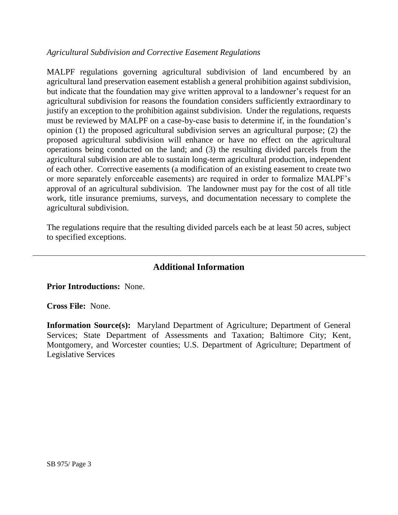## *Agricultural Subdivision and Corrective Easement Regulations*

MALPF regulations governing agricultural subdivision of land encumbered by an agricultural land preservation easement establish a general prohibition against subdivision, but indicate that the foundation may give written approval to a landowner's request for an agricultural subdivision for reasons the foundation considers sufficiently extraordinary to justify an exception to the prohibition against subdivision. Under the regulations, requests must be reviewed by MALPF on a case-by-case basis to determine if, in the foundation's opinion (1) the proposed agricultural subdivision serves an agricultural purpose; (2) the proposed agricultural subdivision will enhance or have no effect on the agricultural operations being conducted on the land; and (3) the resulting divided parcels from the agricultural subdivision are able to sustain long-term agricultural production, independent of each other. Corrective easements (a modification of an existing easement to create two or more separately enforceable easements) are required in order to formalize MALPF's approval of an agricultural subdivision. The landowner must pay for the cost of all title work, title insurance premiums, surveys, and documentation necessary to complete the agricultural subdivision.

The regulations require that the resulting divided parcels each be at least 50 acres, subject to specified exceptions.

# **Additional Information**

**Prior Introductions:** None.

**Cross File:** None.

**Information Source(s):** Maryland Department of Agriculture; Department of General Services; State Department of Assessments and Taxation; Baltimore City; Kent, Montgomery, and Worcester counties; U.S. Department of Agriculture; Department of Legislative Services